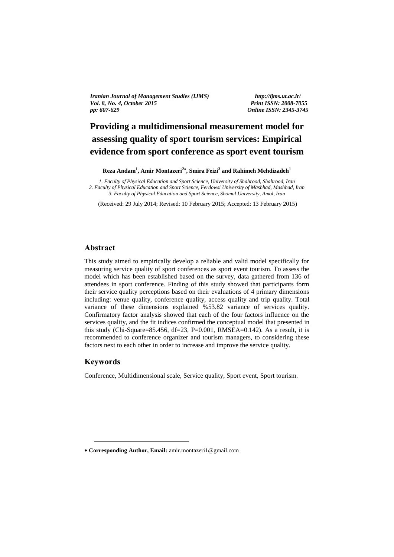*Iranian Journal of Management Studies (IJMS) http://ijms.ut.ac.ir/ Vol. 8, No. 4, October 2015 Print ISSN: 2008-7055 pp: 607-629 Online ISSN: 2345-3745*

# **Providing a multidimensional measurement model for assessing quality of sport tourism services: Empirical**   evidence from sport conference as sport event tourism

**Reza Andam<sup>1</sup> , Amir Montazeri<sup>2</sup> , Smira Feizi<sup>3</sup> and Rahimeh Mehdizadeh<sup>1</sup>**

*1. Faculty of Physical Education and Sport Science, University of Shahrood, Shahrood, Iran 2. Faculty of Physical Education and Sport Science, Ferdowsi University of Mashhad, Mashhad, Iran 3. Faculty of Physical Education and Sport Science, Shomal University, Amol, Iran*

(Received: 29 July 2014; Revised: 10 February 2015; Accepted: 13 February 2015)

#### **Abstract**

This study aimed to empirically develop a reliable and valid model specifically for measuring service quality of sport conferences as sport event tourism. To assess the model which has been established based on the survey, data gathered from 136 of attendees in sport conference. Finding of this study showed that participants form their service quality perceptions based on their evaluations of 4 primary dimensions including: venue quality, conference quality, access quality and trip quality. Total variance of these dimensions explained %53.82 variance of services quality. Confirmatory factor analysis showed that each of the four factors influence on the services quality, and the fit indices confirmed the conceptual model that presented in this study (Chi-Square=85.456, df=23, P=0.001, RMSEA=0.142). As a result, it is recommended to conference organizer and tourism managers, to considering these factors next to each other in order to increase and improve the service quality.

### **Keywords**

1

Conference, Multidimensional scale, Service quality, Sport event, Sport tourism.

**Corresponding Author, Email:** amir.montazeri1@gmail.com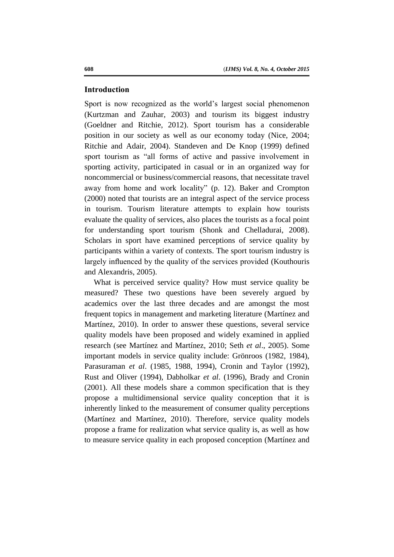#### **Introduction**

Sport is now recognized as the world's largest social phenomenon (Kurtzman and Zauhar, 2003) and tourism its biggest industry (Goeldner and Ritchie, 2012). Sport tourism has a considerable position in our society as well as our economy today (Nice, 2004; Ritchie and Adair, 2004). Standeven and De Knop (1999) defined sport tourism as "all forms of active and passive involvement in sporting activity, participated in casual or in an organized way for noncommercial or business/commercial reasons, that necessitate travel away from home and work locality" (p. 12). Baker and Crompton (2000) noted that tourists are an integral aspect of the service process in tourism. Tourism literature attempts to explain how tourists evaluate the quality of services, also places the tourists as a focal point for understanding sport tourism (Shonk and Chelladurai, 2008). Scholars in sport have examined perceptions of service quality by participants within a variety of contexts. The sport tourism industry is largely influenced by the quality of the services provided (Kouthouris and Alexandris, 2005).

What is perceived service quality? How must service quality be measured? These two questions have been severely argued by academics over the last three decades and are amongst the most frequent topics in management and marketing literature (Martínez and Martínez, 2010). In order to answer these questions, several service quality models have been proposed and widely examined in applied research (see Martínez and Martínez, 2010; Seth *et al*., 2005). Some important models in service quality include: Grönroos (1982, 1984), Parasuraman *et al*. (1985, 1988, 1994), Cronin and Taylor (1992), Rust and Oliver (1994), Dabholkar *et al*. (1996), Brady and Cronin (2001). All these models share a common specification that is they propose a multidimensional service quality conception that it is inherently linked to the measurement of consumer quality perceptions (Martínez and Martínez, 2010). Therefore, service quality models propose a frame for realization what service quality is, as well as how to measure service quality in each proposed conception (Martínez and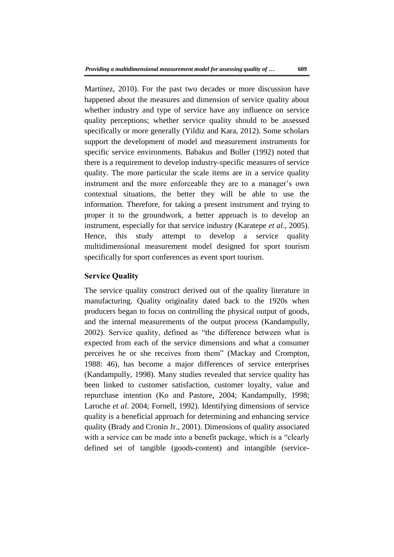Martínez, 2010). For the past two decades or more discussion have happened about the measures and dimension of service quality about whether industry and type of service have any influence on service quality perceptions; whether service quality should to be assessed specifically or more generally (Yildiz and Kara, 2012). Some scholars support the development of model and measurement instruments for specific service environments. Babakus and Boller (1992) noted that there is a requirement to develop industry-specific measures of service quality. The more particular the scale items are in a service quality instrument and the more enforceable they are to a manager's own contextual situations, the better they will be able to use the information. Therefore, for taking a present instrument and trying to proper it to the groundwork, a better approach is to develop an instrument, especially for that service industry (Karatepe *et al*., 2005). Hence, this study attempt to develop a service quality multidimensional measurement model designed for sport tourism specifically for sport conferences as event sport tourism.

#### **Service Quality**

The service quality construct derived out of the quality literature in manufacturing. Quality originality dated back to the 1920s when producers began to focus on controlling the physical output of goods, and the internal measurements of the output process (Kandampully, 2002). Service quality, defined as "the difference between what is expected from each of the service dimensions and what a consumer perceives he or she receives from them" (Mackay and Crompton, 1988: 46), has become a major differences of service enterprises (Kandampully, 1998). Many studies revealed that service quality has been linked to customer satisfaction, customer loyalty, value and repurchase intention (Ko and Pastore, 2004; Kandampully, 1998; Laroche *et al*. 2004; Fornell, 1992). Identifying dimensions of service quality is a beneficial approach for determining and enhancing service quality (Brady and Cronin Jr., 2001). Dimensions of quality associated with a service can be made into a benefit package, which is a "clearly defined set of tangible (goods-content) and intangible (service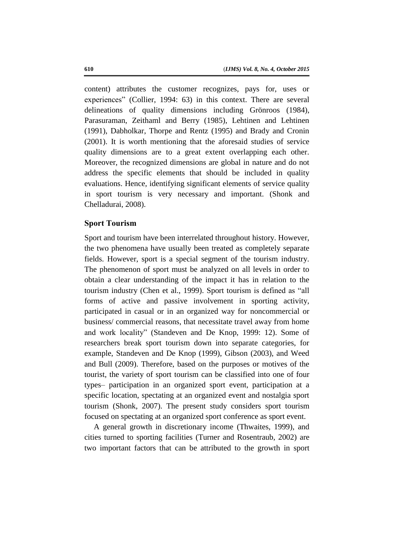content) attributes the customer recognizes, pays for, uses or experiences" (Collier, 1994: 63) in this context. There are several delineations of quality dimensions including Grönroos (1984), Parasuraman, Zeithaml and Berry (1985), Lehtinen and Lehtinen (1991), Dabholkar, Thorpe and Rentz (1995) and Brady and Cronin (2001). It is worth mentioning that the aforesaid studies of service quality dimensions are to a great extent overlapping each other. Moreover, the recognized dimensions are global in nature and do not address the specific elements that should be included in quality evaluations. Hence, identifying significant elements of service quality in sport tourism is very necessary and important. (Shonk and Chelladurai, 2008).

#### **Sport Tourism**

Sport and tourism have been interrelated throughout history. However, the two phenomena have usually been treated as completely separate fields. However, sport is a special segment of the tourism industry. The phenomenon of sport must be analyzed on all levels in order to obtain a clear understanding of the impact it has in relation to the tourism industry (Chen et al., 1999). Sport tourism is defined as "all forms of active and passive involvement in sporting activity, participated in casual or in an organized way for noncommercial or business/ commercial reasons, that necessitate travel away from home and work locality" (Standeven and De Knop, 1999: 12). Some of researchers break sport tourism down into separate categories, for example, Standeven and De Knop (1999), Gibson (2003), and Weed and Bull (2009). Therefore, based on the purposes or motives of the tourist, the variety of sport tourism can be classified into one of four types– participation in an organized sport event, participation at a specific location, spectating at an organized event and nostalgia sport tourism (Shonk, 2007). The present study considers sport tourism focused on spectating at an organized sport conference as sport event.

A general growth in discretionary income (Thwaites, 1999), and cities turned to sporting facilities (Turner and Rosentraub, 2002) are two important factors that can be attributed to the growth in sport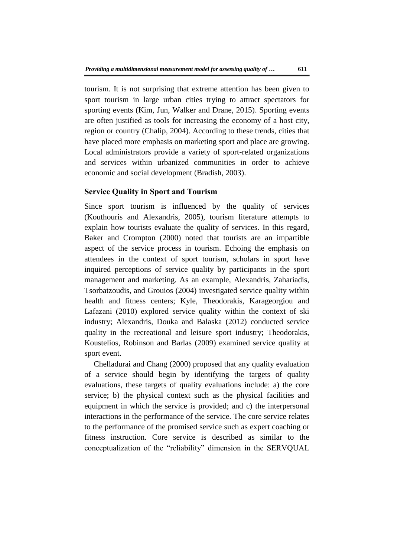tourism. It is not surprising that extreme attention has been given to sport tourism in large urban cities trying to attract spectators for sporting events (Kim, Jun, Walker and Drane, 2015). Sporting events are often justified as tools for increasing the economy of a host city, region or country (Chalip, 2004). According to these trends, cities that have placed more emphasis on marketing sport and place are growing. Local administrators provide a variety of sport-related organizations and services within urbanized communities in order to achieve economic and social development (Bradish, 2003).

## **Service Quality in Sport and Tourism**

Since sport tourism is influenced by the quality of services (Kouthouris and Alexandris, 2005), tourism literature attempts to explain how tourists evaluate the quality of services. In this regard, Baker and Crompton (2000) noted that tourists are an impartible aspect of the service process in tourism. Echoing the emphasis on attendees in the context of sport tourism, scholars in sport have inquired perceptions of service quality by participants in the sport management and marketing. As an example, Alexandris, Zahariadis, Tsorbatzoudis, and Grouios (2004) investigated service quality within health and fitness centers; Kyle, Theodorakis, Karageorgiou and Lafazani (2010) explored service quality within the context of ski industry; Alexandris, Douka and Balaska (2012) conducted service quality in the recreational and leisure sport industry; Theodorakis, Koustelios, Robinson and Barlas (2009) examined service quality at sport event.

Chelladurai and Chang (2000) proposed that any quality evaluation of a service should begin by identifying the targets of quality evaluations, these targets of quality evaluations include: a) the core service; b) the physical context such as the physical facilities and equipment in which the service is provided; and c) the interpersonal interactions in the performance of the service. The core service relates to the performance of the promised service such as expert coaching or fitness instruction. Core service is described as similar to the conceptualization of the "reliability" dimension in the SERVQUAL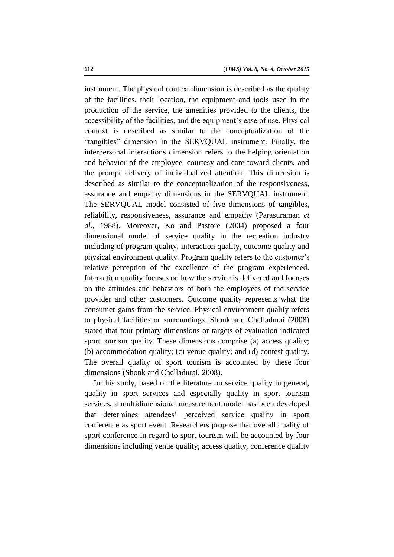instrument. The physical context dimension is described as the quality of the facilities, their location, the equipment and tools used in the production of the service, the amenities provided to the clients, the accessibility of the facilities, and the equipment's ease of use. Physical context is described as similar to the conceptualization of the "tangibles" dimension in the SERVQUAL instrument. Finally, the interpersonal interactions dimension refers to the helping orientation and behavior of the employee, courtesy and care toward clients, and the prompt delivery of individualized attention. This dimension is described as similar to the conceptualization of the responsiveness, assurance and empathy dimensions in the SERVQUAL instrument. The SERVQUAL model consisted of five dimensions of tangibles, reliability, responsiveness, assurance and empathy (Parasuraman *et al*., 1988). Moreover, Ko and Pastore (2004) proposed a four dimensional model of service quality in the recreation industry including of program quality, interaction quality, outcome quality and physical environment quality. Program quality refers to the customer's relative perception of the excellence of the program experienced. Interaction quality focuses on how the service is delivered and focuses on the attitudes and behaviors of both the employees of the service provider and other customers. Outcome quality represents what the consumer gains from the service. Physical environment quality refers to physical facilities or surroundings. Shonk and Chelladurai (2008) stated that four primary dimensions or targets of evaluation indicated sport tourism quality. These dimensions comprise (a) access quality; (b) accommodation quality; (c) venue quality; and (d) contest quality. The overall quality of sport tourism is accounted by these four dimensions (Shonk and Chelladurai, 2008).

In this study, based on the literature on service quality in general, quality in sport services and especially quality in sport tourism services, a multidimensional measurement model has been developed that determines attendees' perceived service quality in sport conference as sport event. Researchers propose that overall quality of sport conference in regard to sport tourism will be accounted by four dimensions including venue quality, access quality, conference quality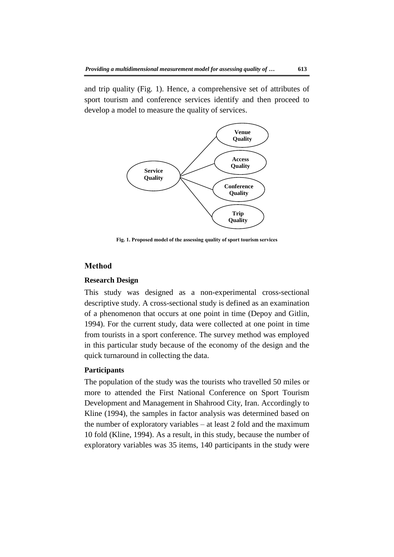and trip quality (Fig. 1). Hence, a comprehensive set of attributes of sport tourism and conference services identify and then proceed to develop a model to measure the quality of services.



**Fig. 1. Proposed model of the assessing quality of sport tourism services**

## **Method**

### **Research Design**

This study was designed as a non-experimental cross-sectional descriptive study. A cross-sectional study is defined as an examination of a phenomenon that occurs at one point in time (Depoy and Gitlin, 1994). For the current study, data were collected at one point in time from tourists in a sport conference. The survey method was employed in this particular study because of the economy of the design and the quick turnaround in collecting the data.

#### **Participants**

The population of the study was the tourists who travelled 50 miles or more to attended the First National Conference on Sport Tourism Development and Management in Shahrood City, Iran. Accordingly to Kline (1994), the samples in factor analysis was determined based on the number of exploratory variables – at least 2 fold and the maximum 10 fold (Kline, 1994). As a result, in this study, because the number of exploratory variables was 35 items, 140 participants in the study were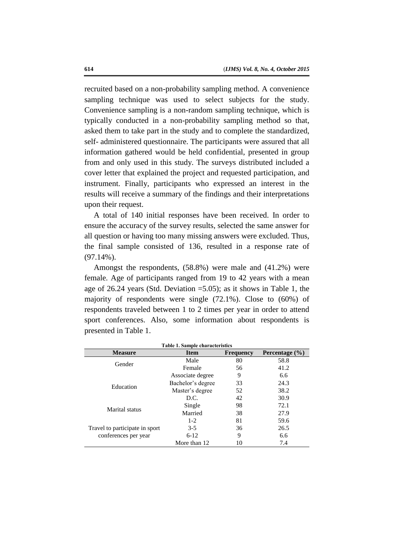recruited based on a non-probability sampling method. A convenience sampling technique was used to select subjects for the study. Convenience sampling is a non-random sampling technique, which is typically conducted in a non-probability sampling method so that, asked them to take part in the study and to complete the standardized, self- administered questionnaire. The participants were assured that all information gathered would be held confidential, presented in group from and only used in this study. The surveys distributed included a cover letter that explained the project and requested participation, and instrument. Finally, participants who expressed an interest in the results will receive a summary of the findings and their interpretations upon their request.

A total of 140 initial responses have been received. In order to ensure the accuracy of the survey results, selected the same answer for all question or having too many missing answers were excluded. Thus, the final sample consisted of 136, resulted in a response rate of (97.14%).

Amongst the respondents, (58.8%) were male and (41.2%) were female. Age of participants ranged from 19 to 42 years with a mean age of 26.24 years (Std. Deviation =5.05); as it shows in Table 1, the majority of respondents were single (72.1%). Close to (60%) of respondents traveled between 1 to 2 times per year in order to attend sport conferences. Also, some information about respondents is presented in Table 1.

| <b>Measure</b>                                                                        | <b>Item</b>       | <b>Frequency</b> | Percentage $(\% )$ |
|---------------------------------------------------------------------------------------|-------------------|------------------|--------------------|
| Gender                                                                                | Male              | 80               | 58.8               |
|                                                                                       | Female            | 56               | 41.2               |
| Education<br>Marital status<br>Travel to participate in sport<br>conferences per year | Associate degree  | 9                | 6.6                |
|                                                                                       | Bachelor's degree | 33               | 24.3               |
|                                                                                       | Master's degree   | 52               | 38.2               |
|                                                                                       | D.C.              | 42               | 30.9               |
|                                                                                       | Single            | 98               | 72.1               |
|                                                                                       | Married           | 38               | 27.9               |
|                                                                                       | $1-2$             | 81               | 59.6               |
|                                                                                       | $3-5$             | 36               | 26.5               |
|                                                                                       | $6-12$            | 9                | 6.6                |
|                                                                                       | More than 12      | 10               | 7.4                |

**Table 1. Sample characteristics**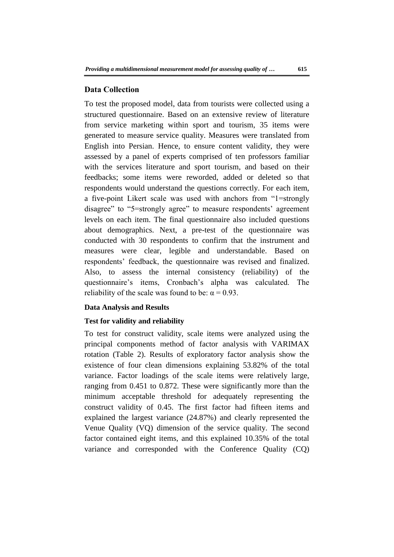#### **Data Collection**

To test the proposed model, data from tourists were collected using a structured questionnaire. Based on an extensive review of literature from service marketing within sport and tourism, 35 items were generated to measure service quality. Measures were translated from English into Persian. Hence, to ensure content validity, they were assessed by a panel of experts comprised of ten professors familiar with the services literature and sport tourism, and based on their feedbacks; some items were reworded, added or deleted so that respondents would understand the questions correctly. For each item, a five-point Likert scale was used with anchors from "1=strongly disagree" to "5=strongly agree" to measure respondents' agreement levels on each item. The final questionnaire also included questions about demographics. Next, a pre-test of the questionnaire was conducted with 30 respondents to confirm that the instrument and measures were clear, legible and understandable. Based on respondents' feedback, the questionnaire was revised and finalized. Also, to assess the internal consistency (reliability) of the questionnaire's items, Cronbach's alpha was calculated. The reliability of the scale was found to be:  $\alpha = 0.93$ .

#### **Data Analysis and Results**

#### **Test for validity and reliability**

To test for construct validity, scale items were analyzed using the principal components method of factor analysis with VARIMAX rotation (Table 2). Results of exploratory factor analysis show the existence of four clean dimensions explaining 53.82% of the total variance. Factor loadings of the scale items were relatively large, ranging from 0.451 to 0.872. These were significantly more than the minimum acceptable threshold for adequately representing the construct validity of 0.45. The first factor had fifteen items and explained the largest variance (24.87%) and clearly represented the Venue Quality (VQ) dimension of the service quality. The second factor contained eight items, and this explained 10.35% of the total variance and corresponded with the Conference Quality (CQ)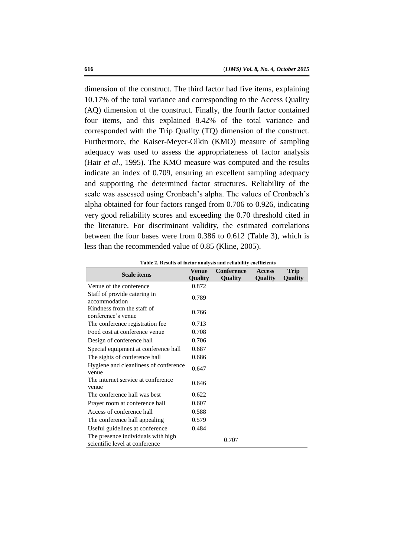dimension of the construct. The third factor had five items, explaining 10.17% of the total variance and corresponding to the Access Quality (AQ) dimension of the construct. Finally, the fourth factor contained four items, and this explained 8.42% of the total variance and corresponded with the Trip Quality (TQ) dimension of the construct. Furthermore, the Kaiser-Meyer-Olkin (KMO) measure of sampling adequacy was used to assess the appropriateness of factor analysis (Hair *et al*., 1995). The KMO measure was computed and the results indicate an index of 0.709, ensuring an excellent sampling adequacy and supporting the determined factor structures. Reliability of the scale was assessed using Cronbach's alpha. The values of Cronbach's alpha obtained for four factors ranged from 0.706 to 0.926, indicating very good reliability scores and exceeding the 0.70 threshold cited in the literature. For discriminant validity, the estimated correlations between the four bases were from 0.386 to 0.612 (Table 3), which is less than the recommended value of 0.85 (Kline, 2005).

|                                                                      | Venue          | <b>Conference</b> | <b>Access</b>  | Trip           |
|----------------------------------------------------------------------|----------------|-------------------|----------------|----------------|
| <b>Scale items</b>                                                   | <b>Quality</b> | <b>Quality</b>    | <b>Quality</b> | <b>Quality</b> |
| Venue of the conference                                              | 0.872          |                   |                |                |
| Staff of provide catering in<br>accommodation                        | 0.789          |                   |                |                |
| Kindness from the staff of<br>conference's venue                     | 0.766          |                   |                |                |
| The conference registration fee                                      | 0.713          |                   |                |                |
| Food cost at conference venue                                        | 0.708          |                   |                |                |
| Design of conference hall                                            | 0.706          |                   |                |                |
| Special equipment at conference hall                                 | 0.687          |                   |                |                |
| The sights of conference hall                                        | 0.686          |                   |                |                |
| Hygiene and cleanliness of conference<br>venue                       | 0.647          |                   |                |                |
| The internet service at conference<br>venue                          | 0.646          |                   |                |                |
| The conference hall was best                                         | 0.622          |                   |                |                |
| Prayer room at conference hall                                       | 0.607          |                   |                |                |
| Access of conference hall                                            | 0.588          |                   |                |                |
| The conference hall appealing                                        | 0.579          |                   |                |                |
| Useful guidelines at conference                                      | 0.484          |                   |                |                |
| The presence individuals with high<br>scientific level at conference |                | 0.707             |                |                |

**Continue Table 2. Results of factor analysis and reliability coefficients**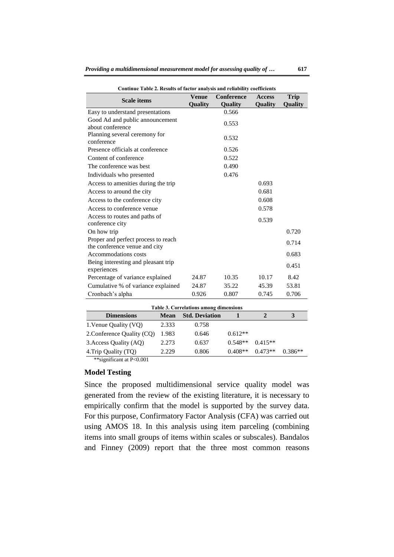| minuv Tabiv 2. iwoulis of factor analysis and renability coefficients<br><b>Scale items</b> | <b>Venue</b><br>Quality                                                 | <b>Conference</b><br>Quality | <b>Access</b><br>Quality | <b>Trip</b><br><b>Quality</b> |
|---------------------------------------------------------------------------------------------|-------------------------------------------------------------------------|------------------------------|--------------------------|-------------------------------|
| Easy to understand presentations                                                            |                                                                         | 0.566                        |                          |                               |
| Good Ad and public announcement<br>about conference                                         |                                                                         | 0.553                        |                          |                               |
| Planning several ceremony for<br>conference                                                 |                                                                         | 0.532                        |                          |                               |
| Presence officials at conference                                                            |                                                                         | 0.526                        |                          |                               |
| Content of conference                                                                       |                                                                         | 0.522                        |                          |                               |
| The conference was best                                                                     |                                                                         | 0.490                        |                          |                               |
| Individuals who presented                                                                   |                                                                         | 0.476                        |                          |                               |
| Access to amenities during the trip                                                         |                                                                         |                              | 0.693                    |                               |
| Access to around the city                                                                   |                                                                         |                              | 0.681                    |                               |
| Access to the conference city                                                               |                                                                         |                              | 0.608                    |                               |
| Access to conference venue                                                                  |                                                                         |                              | 0.578                    |                               |
| Access to routes and paths of<br>conference city                                            |                                                                         |                              | 0.539                    |                               |
| On how trip                                                                                 |                                                                         |                              |                          | 0.720                         |
| Proper and perfect process to reach<br>the conference venue and city                        |                                                                         |                              |                          | 0.714                         |
| Accommodations costs                                                                        |                                                                         |                              |                          | 0.683                         |
| Being interesting and pleasant trip<br>experiences                                          |                                                                         |                              |                          | 0.451                         |
| Percentage of variance explained                                                            | 24.87                                                                   | 10.35                        | 10.17                    | 8.42                          |
| Cumulative % of variance explained                                                          | 24.87                                                                   | 35.22                        | 45.39                    | 53.81                         |
| Cronbach's alpha                                                                            | 0.926                                                                   | 0.807                        | 0.745                    | 0.706                         |
| Table 3. Correlations among dimensions                                                      |                                                                         |                              |                          |                               |
| $\mathbf{D}$ :                                                                              | $M_{\text{com}}$ $C_{\text{L}}$ $D_{\text{c}}$ $\mathcal{L}_{\text{c}}$ |                              | $\rightarrow$            | $\mathbf{r}$                  |

**Continue Table 2. Results of factor analysis and reliability coefficients**

| Table 3. Correlations among dimensions |             |                       |           |           |           |
|----------------------------------------|-------------|-----------------------|-----------|-----------|-----------|
| <b>Dimensions</b>                      | <b>Mean</b> | <b>Std. Deviation</b> |           | 2         | 3         |
| 1. Venue Quality (VQ)                  | 2.333       | 0.758                 |           |           |           |
| 2. Conference Quality (CQ)             | 1.983       | 0.646                 | $0.612**$ |           |           |
| 3. Access Quality (AQ)                 | 2.273       | 0.637                 | $0.548**$ | $0.415**$ |           |
| 4. Trip Quality (TQ)                   | 2.229       | 0.806                 | $0.408**$ | $0.473**$ | $0.386**$ |
| **significant at P<0.001               |             |                       |           |           |           |

#### **Model Testing**

Since the proposed multidimensional service quality model was generated from the review of the existing literature, it is necessary to empirically confirm that the model is supported by the survey data. For this purpose, Confirmatory Factor Analysis (CFA) was carried out using AMOS 18. In this analysis using item parceling (combining items into small groups of items within scales or subscales). Bandalos and Finney (2009) report that the three most common reasons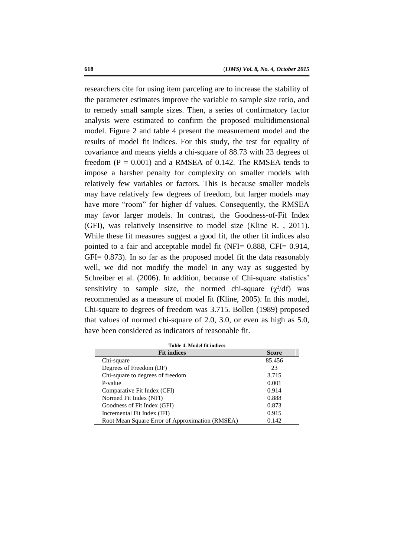researchers cite for using item parceling are to increase the stability of the parameter estimates improve the variable to sample size ratio, and to remedy small sample sizes. Then, a series of confirmatory factor analysis were estimated to confirm the proposed multidimensional model. Figure 2 and table 4 present the measurement model and the results of model fit indices. For this study, the test for equality of covariance and means yields a chi-square of 88.73 with 23 degrees of freedom  $(P = 0.001)$  and a RMSEA of 0.142. The RMSEA tends to impose a harsher penalty for complexity on smaller models with relatively few variables or factors. This is because smaller models may have relatively few degrees of freedom, but larger models may have more "room" for higher df values. Consequently, the RMSEA may favor larger models. In contrast, the Goodness-of-Fit Index (GFI), was relatively insensitive to model size (Kline R. , 2011). While these fit measures suggest a good fit, the other fit indices also pointed to a fair and acceptable model fit (NFI= 0.888, CFI= 0.914, GFI= 0.873). In so far as the proposed model fit the data reasonably well, we did not modify the model in any way as suggested by Schreiber et al. (2006). In addition, because of Chi-square statistics' sensitivity to sample size, the normed chi-square  $(\chi^2/df)$  was recommended as a measure of model fit (Kline, 2005). In this model, Chi-square to degrees of freedom was 3.715. Bollen (1989) proposed that values of normed chi-square of 2.0, 3.0, or even as high as 5.0, have been considered as indicators of reasonable fit.

| <b>Fit indices</b>                              | <b>Score</b> |
|-------------------------------------------------|--------------|
| Chi-square                                      | 85.456       |
| Degrees of Freedom (DF)                         | 23           |
| Chi-square to degrees of freedom                | 3.715        |
| P-value                                         | 0.001        |
| Comparative Fit Index (CFI)                     | 0.914        |
| Normed Fit Index (NFI)                          | 0.888        |
| Goodness of Fit Index (GFI)                     | 0.873        |
| Incremental Fit Index (IFI)                     | 0.915        |
| Root Mean Square Error of Approximation (RMSEA) | 0.142        |

**Table 4. Model fit indices**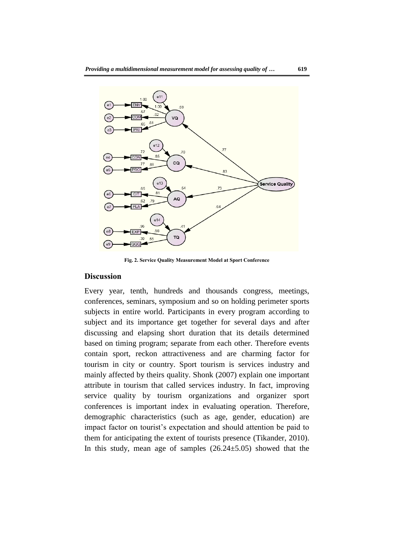

**Fig. 2. Service Quality Measurement Model at Sport Conference**

#### **Discussion**

Every year, tenth, hundreds and thousands congress, meetings, conferences, seminars, symposium and so on holding perimeter sports subjects in entire world. Participants in every program according to subject and its importance get together for several days and after discussing and elapsing short duration that its details determined based on timing program; separate from each other. Therefore events contain sport, reckon attractiveness and are charming factor for tourism in city or country. Sport tourism is services industry and mainly affected by theirs quality. Shonk (2007) explain one important attribute in tourism that called services industry. In fact, improving service quality by tourism organizations and organizer sport conferences is important index in evaluating operation. Therefore, demographic characteristics (such as age, gender, education) are impact factor on tourist's expectation and should attention be paid to them for anticipating the extent of tourists presence (Tikander, 2010). In this study, mean age of samples  $(26.24 \pm 5.05)$  showed that the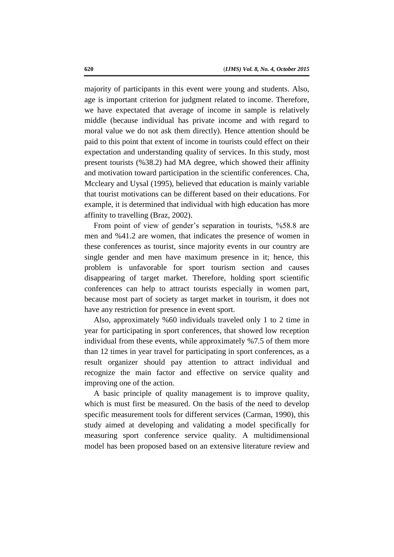majority of participants in this event were young and students. Also, age is important criterion for judgment related to income. Therefore, we have expectated that average of income in sample is relatively middle (because individual has private income and with regard to moral value we do not ask them directly). Hence attention should be paid to this point that extent of income in tourists could effect on their expectation and understanding quality of services. In this study, most present tourists (%38.2) had MA degree, which showed their affinity and motivation toward participation in the scientific conferences. Cha, Mccleary and Uysal (1995), believed that education is mainly variable that tourist motivations can be different based on their educations. For example, it is determined that individual with high education has more affinity to travelling (Braz, 2002).

From point of view of gender's separation in tourists, %58.8 are men and %41.2 are women, that indicates the presence of women in these conferences as tourist, since majority events in our country are single gender and men have maximum presence in it; hence, this problem is unfavorable for sport tourism section and causes disappearing of target market. Therefore, holding sport scientific conferences can help to attract tourists especially in women part, because most part of society as target market in tourism, it does not have any restriction for presence in event sport.

Also, approximately %60 individuals traveled only 1 to 2 time in year for participating in sport conferences, that showed low reception individual from these events, while approximately %7.5 of them more than 12 times in year travel for participating in sport conferences, as a result organizer should pay attention to attract individual and recognize the main factor and effective on service quality and improving one of the action.

A basic principle of quality management is to improve quality, which is must first be measured. On the basis of the need to develop specific measurement tools for different services (Carman, 1990), this study aimed at developing and validating a model specifically for measuring sport conference service quality. A multidimensional model has been proposed based on an extensive literature review and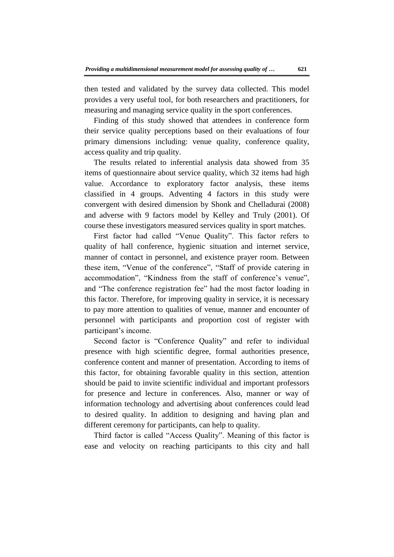then tested and validated by the survey data collected. This model provides a very useful tool, for both researchers and practitioners, for measuring and managing service quality in the sport conferences.

Finding of this study showed that attendees in conference form their service quality perceptions based on their evaluations of four primary dimensions including: venue quality, conference quality, access quality and trip quality.

The results related to inferential analysis data showed from 35 items of questionnaire about service quality, which 32 items had high value. Accordance to exploratory factor analysis, these items classified in 4 groups. Adventing 4 factors in this study were convergent with desired dimension by Shonk and Chelladurai (2008) and adverse with 9 factors model by Kelley and Truly (2001). Of course these investigators measured services quality in sport matches.

First factor had called "Venue Quality". This factor refers to quality of hall conference, hygienic situation and internet service, manner of contact in personnel, and existence prayer room. Between these item, "Venue of the conference", "Staff of provide catering in accommodation", "Kindness from the staff of conference's venue", and "The conference registration fee" had the most factor loading in this factor. Therefore, for improving quality in service, it is necessary to pay more attention to qualities of venue, manner and encounter of personnel with participants and proportion cost of register with participant's income.

Second factor is "Conference Quality" and refer to individual presence with high scientific degree, formal authorities presence, conference content and manner of presentation. According to items of this factor, for obtaining favorable quality in this section, attention should be paid to invite scientific individual and important professors for presence and lecture in conferences. Also, manner or way of information technology and advertising about conferences could lead to desired quality. In addition to designing and having plan and different ceremony for participants, can help to quality.

Third factor is called "Access Quality". Meaning of this factor is ease and velocity on reaching participants to this city and hall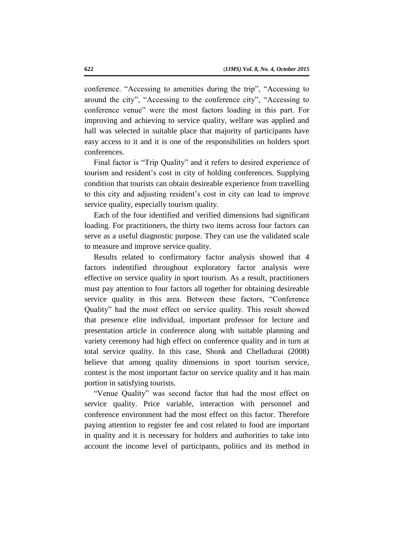conference. "Accessing to amenities during the trip", "Accessing to around the city", "Accessing to the conference city", "Accessing to conference venue" were the most factors loading in this part. For improving and achieving to service quality, welfare was applied and hall was selected in suitable place that majority of participants have easy access to it and it is one of the responsibilities on holders sport conferences.

Final factor is "Trip Quality" and it refers to desired experience of tourism and resident's cost in city of holding conferences. Supplying condition that tourists can obtain desireable experience from travelling to this city and adjusting resident's cost in city can lead to improve service quality, especially tourism quality.

Each of the four identified and verified dimensions had significant loading. For practitioners, the thirty two items across four factors can serve as a useful diagnostic purpose. They can use the validated scale to measure and improve service quality.

Results related to confirmatory factor analysis showed that 4 factors indentified throughout exploratory factor analysis were effective on service quality in sport tourism. As a result, practitioners must pay attention to four factors all together for obtaining desireable service quality in this area. Between these factors, "Conference Quality" had the most effect on service quality. This result showed that presence elite individual, important professor for lecture and presentation article in conference along with suitable planning and variety ceremony had high effect on conference quality and in turn at total service quality. In this case, Shonk and Chelladurai (2008) believe that among quality dimensions in sport tourism service, contest is the most important factor on service quality and it has main portion in satisfying tourists.

"Venue Quality" was second factor that had the most effect on service quality. Price variable, interaction with personnel and conference environment had the most effect on this factor. Therefore paying attention to register fee and cost related to food are important in quality and it is necessary for holders and authorities to take into account the income level of participants, politics and its method in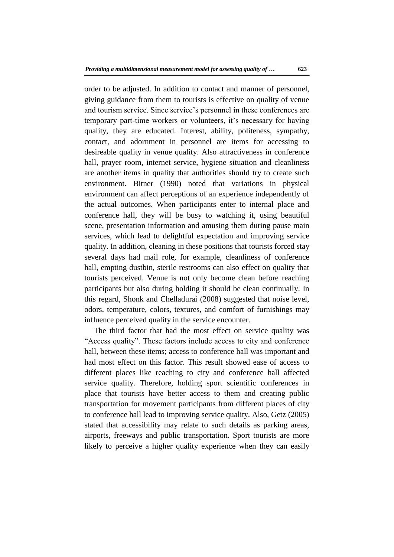order to be adjusted. In addition to contact and manner of personnel, giving guidance from them to tourists is effective on quality of venue and tourism service. Since service's personnel in these conferences are temporary part-time workers or volunteers, it's necessary for having quality, they are educated. Interest, ability, politeness, sympathy, contact, and adornment in personnel are items for accessing to desireable quality in venue quality. Also attractiveness in conference hall, prayer room, internet service, hygiene situation and cleanliness are another items in quality that authorities should try to create such environment. Bitner (1990) noted that variations in physical environment can affect perceptions of an experience independently of the actual outcomes. When participants enter to internal place and conference hall, they will be busy to watching it, using beautiful scene, presentation information and amusing them during pause main services, which lead to delightful expectation and improving service quality. In addition, cleaning in these positions that tourists forced stay several days had mail role, for example, cleanliness of conference hall, empting dustbin, sterile restrooms can also effect on quality that tourists perceived. Venue is not only become clean before reaching participants but also during holding it should be clean continually. In this regard, Shonk and Chelladurai (2008) suggested that noise level, odors, temperature, colors, textures, and comfort of furnishings may influence perceived quality in the service encounter.

The third factor that had the most effect on service quality was "Access quality". These factors include access to city and conference hall, between these items; access to conference hall was important and had most effect on this factor. This result showed ease of access to different places like reaching to city and conference hall affected service quality. Therefore, holding sport scientific conferences in place that tourists have better access to them and creating public transportation for movement participants from different places of city to conference hall lead to improving service quality. Also, Getz (2005) stated that accessibility may relate to such details as parking areas, airports, freeways and public transportation. Sport tourists are more likely to perceive a higher quality experience when they can easily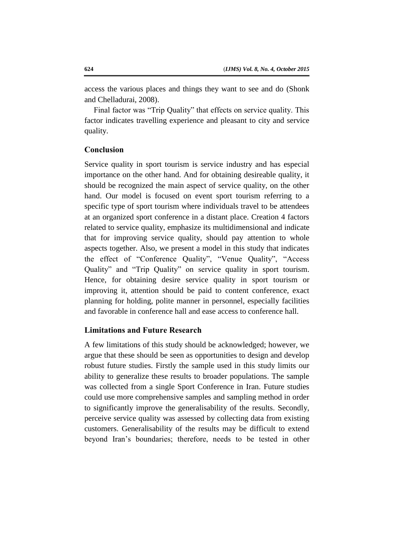access the various places and things they want to see and do (Shonk and Chelladurai, 2008).

Final factor was "Trip Quality" that effects on service quality. This factor indicates travelling experience and pleasant to city and service quality.

## **Conclusion**

Service quality in sport tourism is service industry and has especial importance on the other hand. And for obtaining desireable quality, it should be recognized the main aspect of service quality, on the other hand. Our model is focused on event sport tourism referring to a specific type of sport tourism where individuals travel to be attendees at an organized sport conference in a distant place. Creation 4 factors related to service quality, emphasize its multidimensional and indicate that for improving service quality, should pay attention to whole aspects together. Also, we present a model in this study that indicates the effect of "Conference Quality", "Venue Quality", "Access Quality" and "Trip Quality" on service quality in sport tourism. Hence, for obtaining desire service quality in sport tourism or improving it, attention should be paid to content conference, exact planning for holding, polite manner in personnel, especially facilities and favorable in conference hall and ease access to conference hall.

## **Limitations and Future Research**

A few limitations of this study should be acknowledged; however, we argue that these should be seen as opportunities to design and develop robust future studies. Firstly the sample used in this study limits our ability to generalize these results to broader populations. The sample was collected from a single Sport Conference in Iran. Future studies could use more comprehensive samples and sampling method in order to significantly improve the generalisability of the results. Secondly, perceive service quality was assessed by collecting data from existing customers. Generalisability of the results may be difficult to extend beyond Iran's boundaries; therefore, needs to be tested in other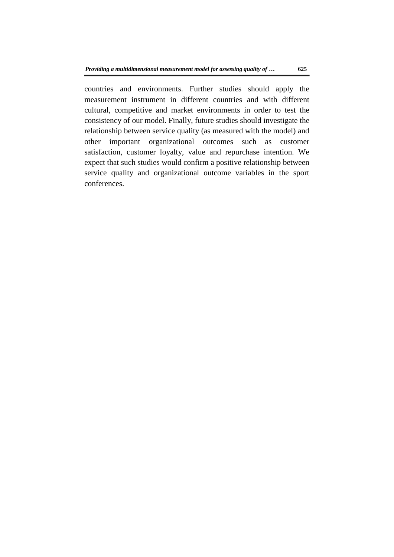countries and environments. Further studies should apply the measurement instrument in different countries and with different cultural, competitive and market environments in order to test the consistency of our model. Finally, future studies should investigate the relationship between service quality (as measured with the model) and other important organizational outcomes such as customer satisfaction, customer loyalty, value and repurchase intention. We expect that such studies would confirm a positive relationship between service quality and organizational outcome variables in the sport conferences.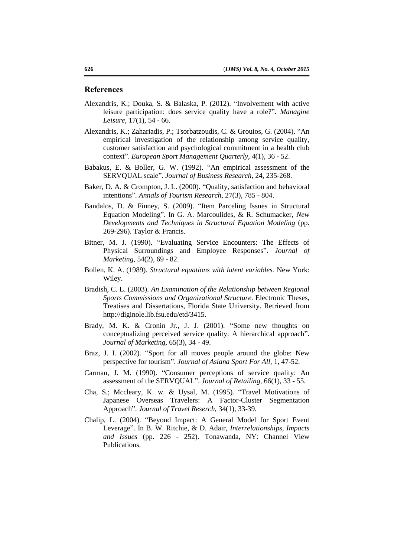#### **References**

- Alexandris, K.; Douka, S. & Balaska, P. (2012). "Involvement with active leisure participation: does service quality have a role?". *Managine Leisure,* 17(1), 54 - 66.
- Alexandris, K.; Zahariadis, P.; Tsorbatzoudis, C. & Grouios, G. (2004). "An empirical investigation of the relationship among service quality, customer satisfaction and psychological commitment in a health club context". *European Sport Management Quarterly,* 4(1), 36 - 52.
- Babakus, E. & Boller, G. W. (1992). "An empirical assessment of the SERVQUAL scale". *Journal of Business Research,* 24, 235-268.
- Baker, D. A. & Crompton, J. L. (2000). "Quality, satisfaction and behavioral intentions". *Annals of Tourism Research,* 27(3), 785 - 804.
- Bandalos, D. & Finney, S. (2009). "Item Parceling Issues in Structural Equation Modeling". In G. A. Marcoulides, & R. Schumacker, *New Developments and Techniques in Structural Equation Modeling* (pp. 269-296). Taylor & Francis.
- Bitner, M. J. (1990). "Evaluating Service Encounters: The Effects of Physical Surroundings and Employee Responses". *Journal of Marketing,* 54(2), 69 - 82.
- Bollen, K. A. (1989). *Structural equations with latent variables.* New York: Wiley.
- Bradish, C. L. (2003). *An Examination of the Relationship between Regional Sports Commissions and Organizational Structure.* Electronic Theses, Treatises and Dissertations, Florida State University. Retrieved from http://diginole.lib.fsu.edu/etd/3415.
- Brady, M. K. & Cronin Jr., J. J. (2001). "Some new thoughts on conceptualizing perceived service quality: A hierarchical approach". *Journal of Marketing,* 65(3), 34 - 49.
- Braz, J. I. (2002). "Sport for all moves people around the globe: New perspective for tourism". *Journal of Asiana Sport For All,* 1, 47-52.
- Carman, J. M. (1990). "Consumer perceptions of service quality: An assessment of the SERVQUAL". *Journal of Retailing,* 66(1), 33 - 55.
- Cha, S.; Mccleary, K. w. & Uysal, M. (1995). "Travel Motivations of Japanese Overseas Travelers: A Factor-Cluster Segmentation Approach". *Journal of Travel Reserch,* 34(1), 33-39.
- Chalip, L. (2004). "Beyond Impact: A General Model for Sport Event Leverage". In B. W. Ritchie, & D. Adair, *Interrelationships, Impacts and Issues* (pp. 226 - 252). Tonawanda, NY: Channel View Publications.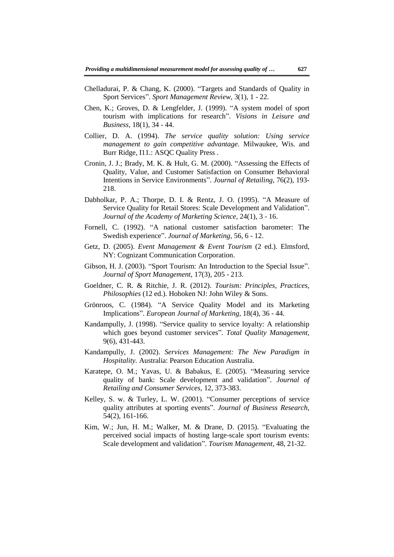- Chelladurai, P. & Chang, K. (2000). "Targets and Standards of Quality in Sport Services". *Sport Management Review,* 3(1), 1 - 22.
- Chen, K.; Groves, D. & Lengfelder, J. (1999). "A system model of sport tourism with implications for research". *Visions in Leisure and Business,* 18(1), 34 - 44.
- Collier, D. A. (1994). *The service quality solution: Using service management to gain competitive advantage.* Milwaukee, Wis. and Burr Ridge, I11.: ASQC Quality Press .
- Cronin, J. J.; Brady, M. K. & Hult, G. M. (2000). "Assessing the Effects of Quality, Value, and Customer Satisfaction on Consumer Behavioral Intentions in Service Environments". *Journal of Retailing*, 76(2), 193- 218.
- Dabholkar, P. A.; Thorpe, D. I. & Rentz, J. O. (1995). "A Measure of Service Quality for Retail Stores: Scale Development and Validation". *Journal of the Academy of Marketing Science,* 24(1), 3 - 16.
- Fornell, C. (1992). "A national customer satisfaction barometer: The Swedish experience". *Journal of Marketing,* 56, 6 - 12.
- Getz, D. (2005). *Event Management & Event Tourism* (2 ed.). Elmsford, NY: Cognizant Communication Corporation.
- Gibson, H. J. (2003). "Sport Tourism: An Introduction to the Special Issue". *Journal of Sport Management,* 17(3), 205 - 213.
- Goeldner, C. R. & Ritchie, J. R. (2012). *Tourism: Principles, Practices, Philosophies* (12 ed.). Hoboken NJ: John Wiley & Sons.
- Grönroos, C. (1984). "A Service Quality Model and its Marketing Implications". *European Journal of Marketing,* 18(4), 36 - 44.
- Kandampully, J. (1998). "Service quality to service loyalty: A relationship which goes beyond customer services". *Total Quality Management,*  9(6), 431-443.
- Kandampully, J. (2002). *Services Management: The New Paradigm in Hospitality.* Australia: Pearson Education Australia.
- Karatepe, O. M.; Yavas, U. & Babakus, E. (2005). "Measuring service quality of bank: Scale development and validation". *Journal of Retailing and Consumer Services,* 12, 373-383.
- Kelley, S. w. & Turley, L. W. (2001). "Consumer perceptions of service quality attributes at sporting events". *Journal of Business Research,*  54(2), 161-166.
- Kim, W.; Jun, H. M.; Walker, M. & Drane, D. (2015). "Evaluating the perceived social impacts of hosting large-scale sport tourism events: Scale development and validation". *Tourism Management,* 48, 21-32.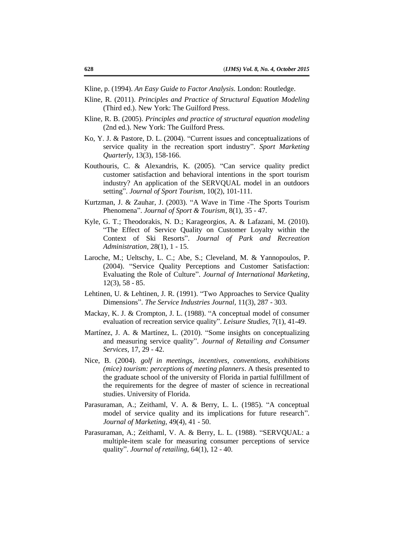Kline, p. (1994). *An Easy Guide to Factor Analysis.* London: Routledge.

- Kline, R. (2011). *Principles and Practice of Structural Equation Modeling* (Third ed.). New York: The Guilford Press.
- Kline, R. B. (2005). *Principles and practice of structural equation modeling* (2nd ed.). New York: The Guilford Press.
- Ko, Y. J. & Pastore, D. L. (2004). "Current issues and conceptualizations of service quality in the recreation sport industry". *Sport Marketing Quarterly,* 13(3), 158-166.
- Kouthouris, C. & Alexandris, K. (2005). "Can service quality predict customer satisfaction and behavioral intentions in the sport tourism industry? An application of the SERVQUAL model in an outdoors setting". *Journal of Sport Tourism,* 10(2), 101-111.
- Kurtzman, J. & Zauhar, J. (2003). "A Wave in Time -The Sports Tourism Phenomena". *Journal of Sport & Tourism,* 8(1), 35 - 47.
- Kyle, G. T.; Theodorakis, N. D.; Karageorgios, A. & Lafazani, M. (2010). "The Effect of Service Quality on Customer Loyalty within the Context of Ski Resorts". *Journal of Park and Recreation Administration,* 28(1), 1 - 15.
- Laroche, M.; Ueltschy, L. C.; Abe, S.; Cleveland, M. & Yannopoulos, P. (2004). "Service Quality Perceptions and Customer Satisfaction: Evaluating the Role of Culture". *Journal of International Marketing,*  12(3), 58 - 85.
- Lehtinen, U. & Lehtinen, J. R. (1991). "Two Approaches to Service Quality Dimensions". *The Service Industries Journal,* 11(3), 287 - 303.
- Mackay, K. J. & Crompton, J. L. (1988). "A conceptual model of consumer evaluation of recreation service quality". *Leisure Studies,* 7(1), 41-49.
- Martínez, J. A. & Martínez, L. (2010). "Some insights on conceptualizing and measuring service quality". *Journal of Retailing and Consumer Services,* 17, 29 - 42.
- Nice, B. (2004). *golf in meetings, incentives, conventions, exxhibitions (mice) tourism: perceptions of meeting planners*. A thesis presented to the graduate school of the university of Florida in partial fulfillment of the requirements for the degree of master of science in recreational studies. University of Florida.
- Parasuraman, A.; Zeithaml, V. A. & Berry, L. L. (1985). "A conceptual model of service quality and its implications for future research". *Journal of Marketing,* 49(4), 41 - 50.
- Parasuraman, A.; Zeithaml, V. A. & Berry, L. L. (1988). "SERVQUAL: a multiple-item scale for measuring consumer perceptions of service quality". *Journal of retailing,* 64(1), 12 - 40.